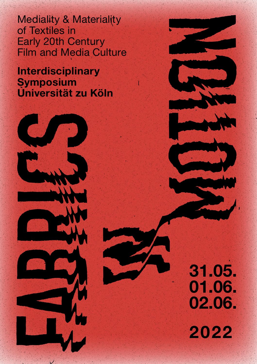Mediality & Materiality of Textiles in Early 20th Century Film and Media Culture

Interdisciplinary **Symposium** Universität zu Köln



31.05. 01.06. 02.06. 2022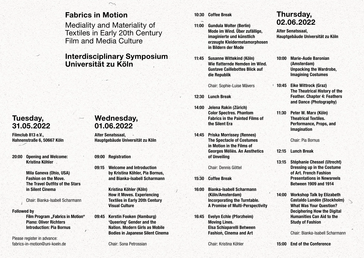### Fabrics in Motion

Mediality and Materiality of Textiles in Early 20th Century Film and Media Culture

### Interdisciplinary Symposium Universität zu Köln

# Tuesday, 31.05.2022

Filmclub 813 e.V., Hahnenstraße 6, 50667 Köln

20:00 Opening and Welcome: Kristina Köhler

> Mila Ganeva (Ohio, USA) Fashion on the Move. The Travel Outfits of the Stars in Silent Cinema

Chair: Bianka-Isabell Scharmann

#### Followed by

Film Program "Fabrics in Motion" Piano: Oliver Richters Introduction: Pia Bornus

Please register in advance: fabrics-in-motion@uni-koeln.de

# Wednesday, 01.06.2022

Alter Senatssaal, Hauptgebäude Universität zu Köln

09:00 Registration

09:15 Welcome and Introduction by Kristina Köhler, Pia Bornus, and Bianka-Isabell Scharmann

> Kristina Köhler (Köln) How it Moves. Experiencing Textiles in Early 20th Century Visual Culture

09:45 Kerstin Fooken (Hamburg) 'Queering' Gender and the Nation. Modern Girls as Mobile Bodies in Japanese Silent Cinema

Chair: Sona Petrossian

10:30 Coffee Break

- 11:00 Gundula Wolter (Berlin) Mode im Wind. Über zufällige, imaginierte und künstlich erzeugte Kleidermetamorphosen in Bildern der Mode
- 11:45 Susanne Wittekind (Köln) Wie flatternde Hemden im Wind. Gustave Caillebottes Blick auf die Republik

Chair: Sophie-Luise Mävers

- 12:30 Lunch Break
- 14:00 Jelena Rakin (Zürich) Color Spectres. Phantom Fabrics in the Painted Films of the Silent Era
- 14:45 Priska Morrissey (Rennes) The Spectacle of Costumes in Motion in the Films of Georges Méliès. An Aesthetics of Unveiling

Chair: Dennis Göttel

- 15:30 Coffee Break
- 16:00 Bianka-Isabell Scharmann (Köln/Amsterdam) Incorporating the Turntable. A Promise of Multi-Perspectivity
- 16:45 Evelyn Echle (Pforzheim) Moving Lines. Elsa Schiaparelli Between Fashion, Cinema and Art

Chair: Kristina Köhler

# Thursday, 02.06.2022

Alter Senatssaal, Hauptgebäude Universität zu Köln

- 10:00 Marie-Aude Baronian (Amsterdam) Unpacking the Wardrobe, Imagining Costumes
- 10:45 Eike Wittrock (Graz) The Theatrical History of the Feather. Chapter 4: Feathers and Dance (Photography)
- 11:30 Peter W. Marx (Köln) Theatrical Textiles. Performance, Props, and Imagination

Chair: Pia Bornus

- 12:15 Lunch Break
- 13:15 Stéphanie Chessel (Utrecht) Dressing up in the Costume of Art. French Fashion Presentations in Newsreels Between 1909 and 1914
- 14:00 Workshop Talk by Elizabeth Castaldo Lundén (Stockholm) What Was Your Question? Deciphering How the Digital Humanities Can Aid to the Study of Fashion

Chair: Bianka-Isabell Scharmann